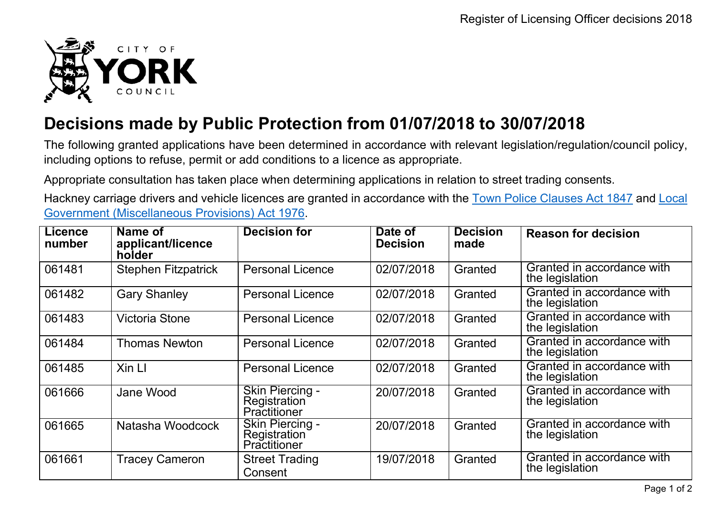

## **Decisions made by Public Protection from 01/07/2018 to 30/07/2018**

The following granted applications have been determined in accordance with relevant legislation/regulation/council policy, including options to refuse, permit or add conditions to a licence as appropriate.

Appropriate consultation has taken place when determining applications in relation to street trading consents.

Hackney carriage drivers and vehicle licences are granted in accordance with the Town Police [Clauses](http://www.legislation.gov.uk/ukpga/Vict/10-11/89) Act 1847 and [Local](http://www.legislation.gov.uk/ukpga/1976/57) [Government \(Miscellaneous Provisions\) Act 1976.](http://www.legislation.gov.uk/ukpga/1976/57)

| <b>Licence</b><br>number | Name of<br>applicant/licence<br>holder | <b>Decision for</b>                                    | Date of<br><b>Decision</b> | <b>Decision</b><br>made | <b>Reason for decision</b>                    |
|--------------------------|----------------------------------------|--------------------------------------------------------|----------------------------|-------------------------|-----------------------------------------------|
| 061481                   | <b>Stephen Fitzpatrick</b>             | <b>Personal Licence</b>                                | 02/07/2018                 | Granted                 | Granted in accordance with<br>the legislation |
| 061482                   | <b>Gary Shanley</b>                    | <b>Personal Licence</b>                                | 02/07/2018                 | Granted                 | Granted in accordance with<br>the legislation |
| 061483                   | Victoria Stone                         | <b>Personal Licence</b>                                | 02/07/2018                 | Granted                 | Granted in accordance with<br>the legislation |
| 061484                   | <b>Thomas Newton</b>                   | <b>Personal Licence</b>                                | 02/07/2018                 | Granted                 | Granted in accordance with<br>the legislation |
| 061485                   | Xin LI                                 | <b>Personal Licence</b>                                | 02/07/2018                 | Granted                 | Granted in accordance with<br>the legislation |
| 061666                   | Jane Wood                              | Skin Piercing -<br><b>Registration</b><br>Practitioner | 20/07/2018                 | Granted                 | Granted in accordance with<br>the legislation |
| 061665                   | Natasha Woodcock                       | <b>Skin Piercing -</b><br>Registration<br>Practitioner | 20/07/2018                 | Granted                 | Granted in accordance with<br>the legislation |
| 061661                   | <b>Tracey Cameron</b>                  | <b>Street Trading</b><br>Consent                       | 19/07/2018                 | Granted                 | Granted in accordance with<br>the legislation |